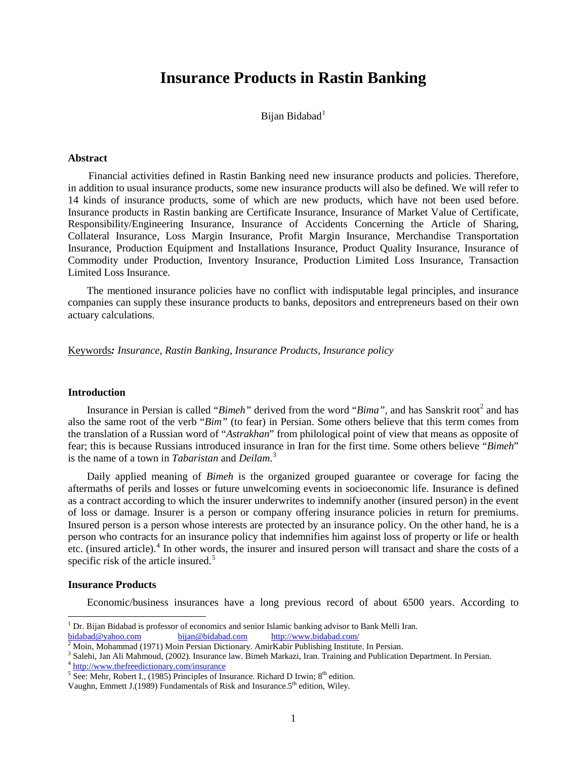# **Insurance Products in Rastin Banking**

Bijan Bidabad<sup>1</sup>

### **Abstract**

Financial activities defined in Rastin Banking need new insurance products and policies. Therefore, in addition to usual insurance products, some new insurance products will also be defined. We will refer to 14 kinds of insurance products, some of which are new products, which have not been used before. Insurance products in Rastin banking are Certificate Insurance, Insurance of Market Value of Certificate, Responsibility/Engineering Insurance, Insurance of Accidents Concerning the Article of Sharing, Collateral Insurance, Loss Margin Insurance, Profit Margin Insurance, Merchandise Transportation Insurance, Production Equipment and Installations Insurance, Product Quality Insurance, Insurance of Commodity under Production, Inventory Insurance, Production Limited Loss Insurance, Transaction Limited Loss Insurance.

The mentioned insurance policies have no conflict with indisputable legal principles, and insurance companies can supply these insurance products to banks, depositors and entrepreneurs based on their own actuary calculations.

Keywords*: Insurance, Rastin Banking, Insurance Products, Insurance policy*

#### **Introduction**

Insurance in Persian is called "*Bimeh*" derived from the word "*Bima*", and has Sanskrit root<sup>2</sup> and has also the same root of the verb "*Bim"* (to fear) in Persian. Some others believe that this term comes from the translation of a Russian word of "*Astrakhan*" from philological point of view that means as opposite of fear; this is because Russians introduced insurance in Iran for the first time. Some others believe "*Bimeh*" is the name of a town in *Tabaristan* and *Deilam*.<sup>3</sup>

Daily applied meaning of *Bimeh* is the organized grouped guarantee or coverage for facing the aftermaths of perils and losses or future unwelcoming events in socioeconomic life. Insurance is defined as a contract according to which the insurer underwrites to indemnify another (insured person) in the event of loss or damage. Insurer is a person or company offering insurance policies in return for premiums. Insured person is a person whose interests are protected by an insurance policy. On the other hand, he is a person who contracts for an insurance policy that indemnifies him against loss of property or life or health etc. (insured article).<sup>4</sup> In other words, the insurer and insured person will transact and share the costs of a specific risk of the article insured.<sup>5</sup>

#### **Insurance Products**

Economic/business insurances have a long previous record of about 6500 years. According to

<sup>1</sup> Dr. Bijan Bidabad is professor of economics and senior Islamic banking advisor to Bank Melli Iran.

 $\frac{\text{bidabad@yahoo.com}}{\text{2} \text{ Moin, Mohammed (1971) } \text{ Moin Persian@biddad.com}} \frac{\text{bitp://www.bidabad.com}}{\text{http://www.bidabad.com}} \frac{\text{http://www.bidabad.com}}{\text{http://www.bidabad.com}}$ <br>  $\frac{1}{3} \text{ Salchi, Jan Ali Mahmoud, (2002). Insurance law. Bimeh Markazi, Iran. Training and Publication Department. In Persian. } \frac{\text{http://www.thefreedictionary.com/insurance}}{\text{http://www.thefreedictionary.com/insurance}}$  $\frac{1}{3} \text{ Salchi, Jan Ali Mahmoud, (2002). Insurance law. Bimeh Markazi, Iran. Training and Publication Department. In Persian. } \frac{\text{http://www.thefreedictionary.com/insurance}}{\text{http://www.thefreedictionary.com/insurance}}$  $\frac{1}{3} \text{ Salchi, Jan Ali Mahmoud, (2002). Insurance law. Bimeh Markazi, Iran. Training and Publication Department. In Persian. } \frac{\text{http://www.thefreedictionary.com/insurance}}{\text{http://www.thefreedictionary.com/insurance}}$ 

Vaughn, Emmett J.(1989) Fundamentals of Risk and Insurance.5<sup>th</sup> edition, Wiley.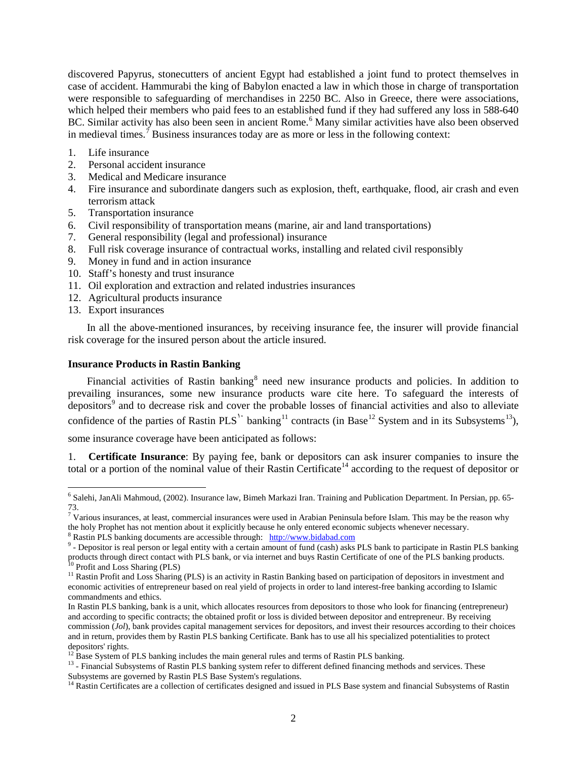discovered Papyrus, stonecutters of ancient Egypt had established a joint fund to protect themselves in case of accident. Hammurabi the king of Babylon enacted a law in which those in charge of transportation were responsible to safeguarding of merchandises in 2250 BC. Also in Greece, there were associations, which helped their members who paid fees to an established fund if they had suffered any loss in 588-640 BC. Similar activity has also been seen in ancient Rome.<sup>6</sup> Many similar activities have also been observed in medieval times.<sup>7</sup> Business insurances today are as more or less in the following context:

- 1. Life insurance
- 2. Personal accident insurance
- 3. Medical and Medicare insurance
- 4. Fire insurance and subordinate dangers such as explosion, theft, earthquake, flood, air crash and even terrorism attack
- 5. Transportation insurance
- 6. Civil responsibility of transportation means (marine, air and land transportations)
- 7. General responsibility (legal and professional) insurance
- 8. Full risk coverage insurance of contractual works, installing and related civil responsibly
- 9. Money in fund and in action insurance
- 10. Staff's honesty and trust insurance
- 11. Oil exploration and extraction and related industries insurances
- 12. Agricultural products insurance
- 13. Export insurances

 $\overline{\phantom{a}}$ 

In all the above-mentioned insurances, by receiving insurance fee, the insurer will provide financial risk coverage for the insured person about the article insured.

# **Insurance Products in Rastin Banking**

Financial activities of Rastin banking<sup>8</sup> need new insurance products and policies. In addition to prevailing insurances, some new insurance products ware cite here. To safeguard the interests of depositors<sup>9</sup> and to decrease risk and cover the probable losses of financial activities and also to alleviate confidence of the parties of Rastin PLS<sup>1</sup>' banking<sup>11</sup> contracts (in Base<sup>12</sup> System and in its Subsystems<sup>13</sup>),

some insurance coverage have been anticipated as follows:

1. **Certificate Insurance**: By paying fee, bank or depositors can ask insurer companies to insure the total or a portion of the nominal value of their Rastin Certificate<sup>14</sup> according to the request of depositor or

<sup>6</sup> Salehi, JanAli Mahmoud, (2002). Insurance law, Bimeh Markazi Iran. Training and Publication Department. In Persian, pp. 65- 73.

 $^7$  Various insurances, at least, commercial insurances were used in Arabian Peninsula before Islam. This may be the reason why the holy Prophet has not mention about it explicitly because he only entered economic subjec

<sup>&</sup>lt;sup>8</sup> Rastin PLS banking documents are accessible through:  $\frac{http://www.bidabad.com}{http://www.bidabad.com}$  $\frac{http://www.bidabad.com}{http://www.bidabad.com}$  $\frac{http://www.bidabad.com}{http://www.bidabad.com}$ <br><sup>9</sup> - Depositor is real person or legal entity with a certain amount of fund (cash) asks PLS bank to participate in Rastin PLS banking products through direct contact with PLS bank, or via internet and buys Rastin Certificate of one of the PLS banking products.<br><sup>10</sup> Profit and Loss Sharing (PLS)<br><sup>11</sup> Rastin Profit and Loss Sharing (PLS) is an activity in

economic activities of entrepreneur based on real yield of projects in order to land interest-free banking according to Islamic commandments and ethics.

In Rastin PLS banking, bank is a unit, which allocates resources from depositors to those who look for financing (entrepreneur) and according to specific contracts; the obtained profit or loss is divided between depositor and entrepreneur. By receiving commission (*Jol*), bank provides capital management services for depositors, and invest their resources according to their choices and in return, provides them by Rastin PLS banking Certificate. Bank has to use all his specialized potentialities to protect depositors' rights.<br><sup>12</sup> Base System of PLS banking includes the main general rules and terms of Rastin PLS banking.

 $13$  - Financial Subsystems of Rastin PLS banking system refer to different defined financing methods and services. These Subsystems are governed by Rastin PLS Base System's regulations.

 $<sup>14</sup>$  Rastin Certificates are a collection of certificates designed and issued in PLS Base system and financial Subsystems of Rastin</sup>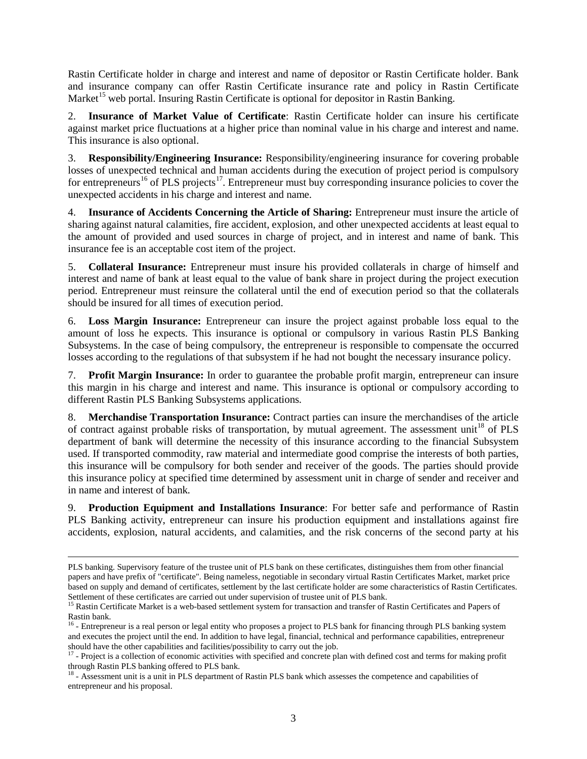Rastin Certificate holder in charge and interest and name of depositor or Rastin Certificate holder. Bank and insurance company can offer Rastin Certificate insurance rate and policy in Rastin Certificate Market<sup>15</sup> web portal. Insuring Rastin Certificate is optional for depositor in Rastin Banking.

2. **Insurance of Market Value of Certificate**: Rastin Certificate holder can insure his certificate against market price fluctuations at a higher price than nominal value in his charge and interest and name. This insurance is also optional.

3. **Responsibility/Engineering Insurance:** Responsibility/engineering insurance for covering probable losses of unexpected technical and human accidents during the execution of project period is compulsory for entrepreneurs<sup>16</sup> of PLS projects<sup>17</sup>. Entrepreneur must buy corresponding insurance policies to cover the unexpected accidents in his charge and interest and name.

4. **Insurance of Accidents Concerning the Article of Sharing:** Entrepreneur must insure the article of sharing against natural calamities, fire accident, explosion, and other unexpected accidents at least equal to the amount of provided and used sources in charge of project, and in interest and name of bank. This insurance fee is an acceptable cost item of the project.

5. **Collateral Insurance:** Entrepreneur must insure his provided collaterals in charge of himself and interest and name of bank at least equal to the value of bank share in project during the project execution period. Entrepreneur must reinsure the collateral until the end of execution period so that the collaterals should be insured for all times of execution period.

6. **Loss Margin Insurance:** Entrepreneur can insure the project against probable loss equal to the amount of loss he expects. This insurance is optional or compulsory in various Rastin PLS Banking Subsystems. In the case of being compulsory, the entrepreneur is responsible to compensate the occurred losses according to the regulations of that subsystem if he had not bought the necessary insurance policy.

7. **Profit Margin Insurance:** In order to guarantee the probable profit margin, entrepreneur can insure this margin in his charge and interest and name. This insurance is optional or compulsory according to different Rastin PLS Banking Subsystems applications.

8. **Merchandise Transportation Insurance:** Contract parties can insure the merchandises of the article of contract against probable risks of transportation, by mutual agreement. The assessment unit<sup>18</sup> of PLS department of bank will determine the necessity of this insurance according to the financial Subsystem used. If transported commodity, raw material and intermediate good comprise the interests of both parties, this insurance will be compulsory for both sender and receiver of the goods. The parties should provide this insurance policy at specified time determined by assessment unit in charge of sender and receiver and in name and interest of bank.

9. **Production Equipment and Installations Insurance**: For better safe and performance of Rastin PLS Banking activity, entrepreneur can insure his production equipment and installations against fire accidents, explosion, natural accidents, and calamities, and the risk concerns of the second party at his

 $\overline{\phantom{a}}$ 

PLS banking. Supervisory feature of the trustee unit of PLS bank on these certificates, distinguishes them from other financial papers and have prefix of "certificate". Being nameless, negotiable in secondary virtual Rastin Certificates Market, market price based on supply and demand of certificates, settlement by the last certificate holder are some characteristics of Rastin Certificates. Settlement of these certificates are carried out under supervision of trustee unit of PLS bank.

<sup>&</sup>lt;sup>15</sup> Rastin Certificate Market is a web-based settlement system for transaction and transfer of Rastin Certificates and Papers of Rastin bank.

<sup>&</sup>lt;sup>16</sup> - Entrepreneur is a real person or legal entity who proposes a project to PLS bank for financing through PLS banking system and executes the project until the end. In addition to have legal, financial, technical and performance capabilities, entrepreneur should have the other capabilities and facilities/possibility to carry out the job.

 $17$  - Project is a collection of economic activities with specified and concrete plan with defined cost and terms for making profit through Rastin PLS banking offered to PLS bank.

<sup>&</sup>lt;sup>18</sup> - Assessment unit is a unit in PLS department of Rastin PLS bank which assesses the competence and capabilities of entrepreneur and his proposal.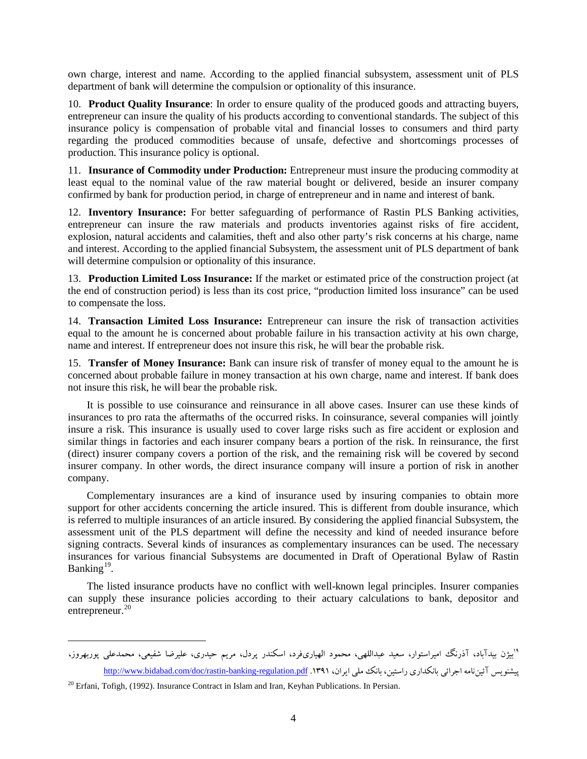own charge, interest and name. According to the applied financial subsystem, assessment unit of PLS department of bank will determine the compulsion or optionality of this insurance.

10. **Product Quality Insurance**: In order to ensure quality of the produced goods and attracting buyers, entrepreneur can insure the quality of his products according to conventional standards. The subject of this insurance policy is compensation of probable vital and financial losses to consumers and third party regarding the produced commodities because of unsafe, defective and shortcomings processes of production. This insurance policy is optional.

11. **Insurance of Commodity under Production:** Entrepreneur must insure the producing commodity at least equal to the nominal value of the raw material bought or delivered, beside an insurer company confirmed by bank for production period, in charge of entrepreneur and in name and interest of bank.

12. **Inventory Insurance:** For better safeguarding of performance of Rastin PLS Banking activities, entrepreneur can insure the raw materials and products inventories against risks of fire accident, explosion, natural accidents and calamities, theft and also other party's risk concerns at his charge, name and interest. According to the applied financial Subsystem, the assessment unit of PLS department of bank will determine compulsion or optionality of this insurance.

13. **Production Limited Loss Insurance:** If the market or estimated price of the construction project (at the end of construction period) is less than its cost price, "production limited loss insurance" can be used to compensate the loss.

14. **Transaction Limited Loss Insurance:** Entrepreneur can insure the risk of transaction activities equal to the amount he is concerned about probable failure in his transaction activity at his own charge, name and interest. If entrepreneur does not insure this risk, he will bear the probable risk.

15. **Transfer of Money Insurance:** Bank can insure risk of transfer of money equal to the amount he is concerned about probable failure in money transaction at his own charge, name and interest. If bank does not insure this risk, he will bear the probable risk.

It is possible to use coinsurance and reinsurance in all above cases. Insurer can use these kinds of insurances to pro rata the aftermaths of the occurred risks. In coinsurance, several companies will jointly insure a risk. This insurance is usually used to cover large risks such as fire accident or explosion and similar things in factories and each insurer company bears a portion of the risk. In reinsurance, the first (direct) insurer company covers a portion of the risk, and the remaining risk will be covered by second insurer company. In other words, the direct insurance company will insure a portion of risk in another company.

Complementary insurances are a kind of insurance used by insuring companies to obtain more support for other accidents concerning the article insured. This is different from double insurance, which is referred to multiple insurances of an article insured. By considering the applied financial Subsystem, the assessment unit of the PLS department will define the necessity and kind of needed insurance before signing contracts. Several kinds of insurances as complementary insurances can be used. The necessary insurances for various financial Subsystems are documented in Draft of Operational Bylaw of Rastin Banking<sup>19</sup>.

The listed insurance products have no conflict with well-known legal principles. Insurer companies can supply these insurance policies according to their actuary calculations to bank, depositor and entrepreneur.<sup>20</sup>

بيژن بيدآباد، آذرنگ اميراستوار، سعيد عبداللهي، محمود الهياريفرد، اسكندر پردل، مريم حيدري، عليرضا شفيعي، محمدعلي پوربهروز، <sup>19</sup> بيشنويس آئيننامه اجرائي بانكداري راستين، بانك ملي ايران، ۱۳۹۱. <http://www.bidabad.com/doc/rastin-banking-regulation.pdf>

<sup>&</sup>lt;sup>20</sup> Erfani, Tofigh, (1992). Insurance Contract in Islam and Iran, Keyhan Publications. In Persian.